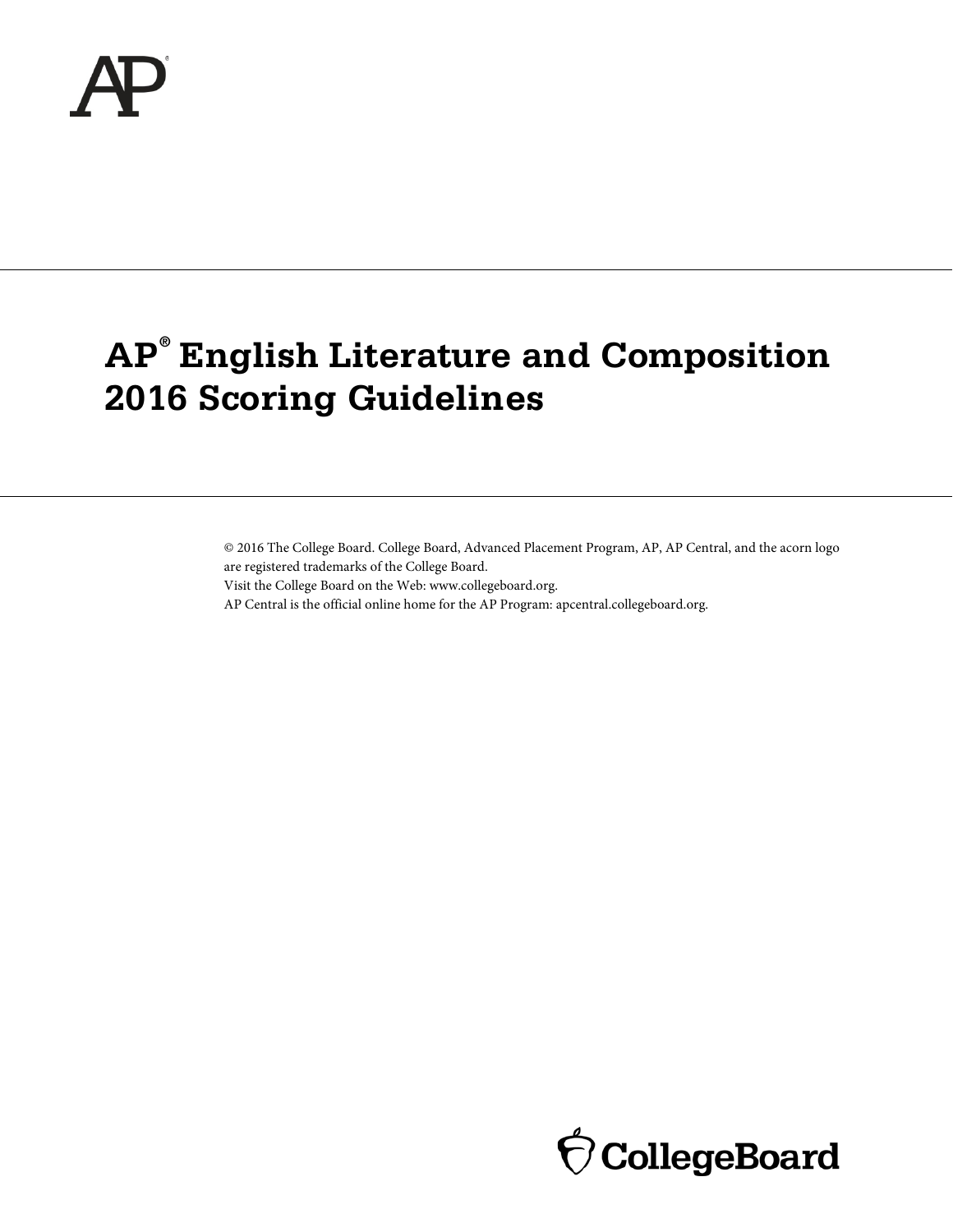

# **AP® English Literature and Composition 2016 Scoring Guidelines**

© 2016 The College Board. College Board, Advanced Placement Program, AP, AP Central, and the acorn logo are registered trademarks of the College Board.

Visit the College Board on the Web: www.collegeboard.org.

AP Central is the official online home for the AP Program: apcentral.collegeboard.org.

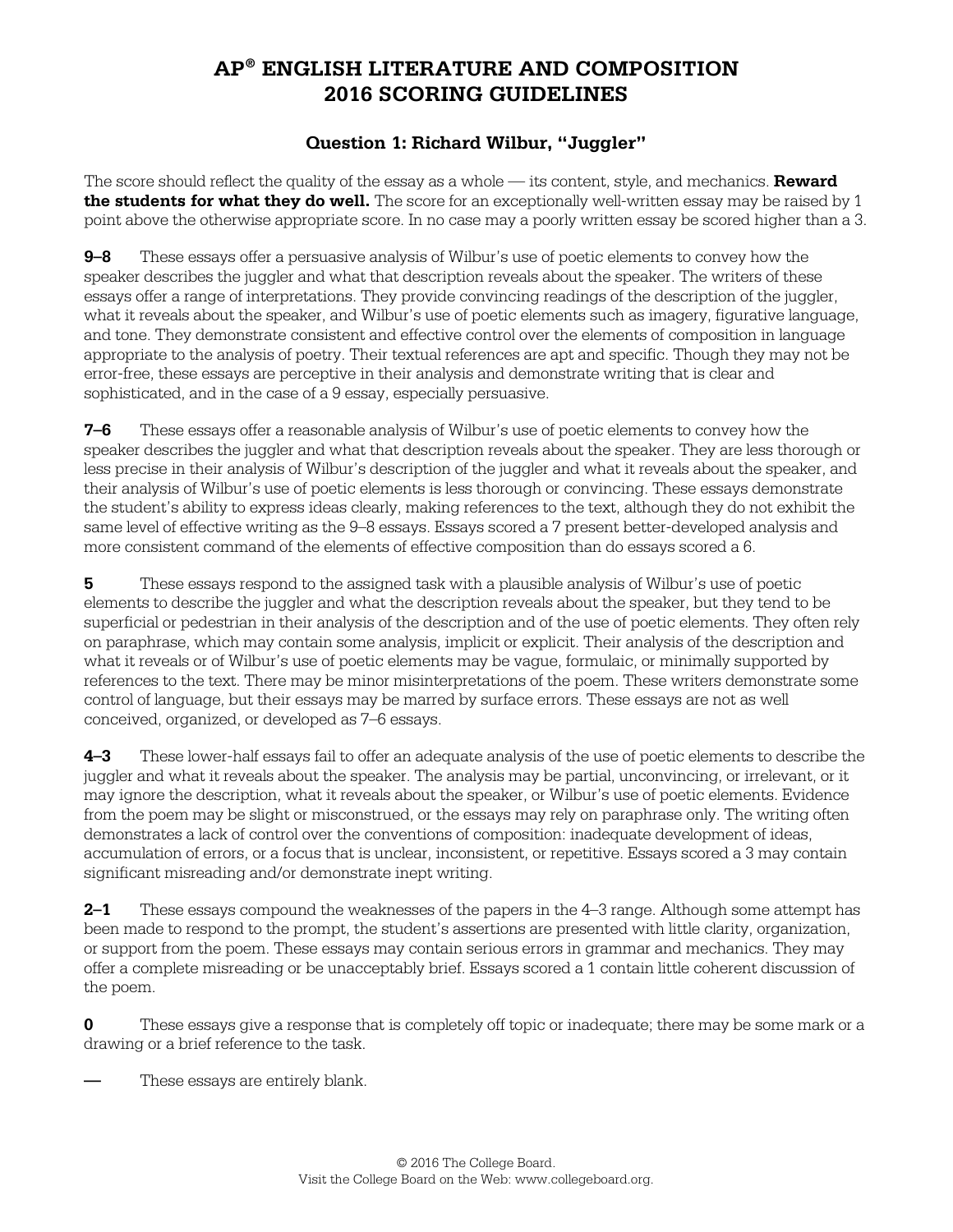## **AP® ENGLISH LITERATURE AND COMPOSITION 2016 SCORING GUIDELINES**

#### **Question 1: Richard Wilbur, "Juggler"**

The score should reflect the quality of the essay as a whole — its content, style, and mechanics. **Reward the students for what they do well.** The score for an exceptionally well-written essay may be raised by 1 point above the otherwise appropriate score. In no case may a poorly written essay be scored higher than a 3.

**9–8** These essays offer a persuasive analysis of Wilbur's use of poetic elements to convey how the speaker describes the juggler and what that description reveals about the speaker. The writers of these essays offer a range of interpretations. They provide convincing readings of the description of the juggler, what it reveals about the speaker, and Wilbur's use of poetic elements such as imagery, figurative language, and tone. They demonstrate consistent and effective control over the elements of composition in language appropriate to the analysis of poetry. Their textual references are apt and specific. Though they may not be error-free, these essays are perceptive in their analysis and demonstrate writing that is clear and sophisticated, and in the case of a 9 essay, especially persuasive.

**7–6** These essays offer a reasonable analysis of Wilbur's use of poetic elements to convey how the speaker describes the juggler and what that description reveals about the speaker. They are less thorough or less precise in their analysis of Wilbur's description of the juggler and what it reveals about the speaker, and their analysis of Wilbur's use of poetic elements is less thorough or convincing. These essays demonstrate the student's ability to express ideas clearly, making references to the text, although they do not exhibit the same level of effective writing as the 9–8 essays. Essays scored a 7 present better-developed analysis and more consistent command of the elements of effective composition than do essays scored a 6.

**5** These essays respond to the assigned task with a plausible analysis of Wilbur's use of poetic elements to describe the juggler and what the description reveals about the speaker, but they tend to be superficial or pedestrian in their analysis of the description and of the use of poetic elements. They often rely on paraphrase, which may contain some analysis, implicit or explicit. Their analysis of the description and what it reveals or of Wilbur's use of poetic elements may be vague, formulaic, or minimally supported by references to the text. There may be minor misinterpretations of the poem. These writers demonstrate some control of language, but their essays may be marred by surface errors. These essays are not as well conceived, organized, or developed as 7–6 essays.

**4–3** These lower-half essays fail to offer an adequate analysis of the use of poetic elements to describe the juggler and what it reveals about the speaker. The analysis may be partial, unconvincing, or irrelevant, or it may ignore the description, what it reveals about the speaker, or Wilbur's use of poetic elements. Evidence from the poem may be slight or misconstrued, or the essays may rely on paraphrase only. The writing often demonstrates a lack of control over the conventions of composition: inadequate development of ideas, accumulation of errors, or a focus that is unclear, inconsistent, or repetitive. Essays scored a 3 may contain significant misreading and/or demonstrate inept writing.

**2–1** These essays compound the weaknesses of the papers in the 4–3 range. Although some attempt has been made to respond to the prompt, the student's assertions are presented with little clarity, organization, or support from the poem. These essays may contain serious errors in grammar and mechanics. They may offer a complete misreading or be unacceptably brief. Essays scored a 1 contain little coherent discussion of the poem.

**0** These essays give a response that is completely off topic or inadequate; there may be some mark or a drawing or a brief reference to the task.

These essays are entirely blank.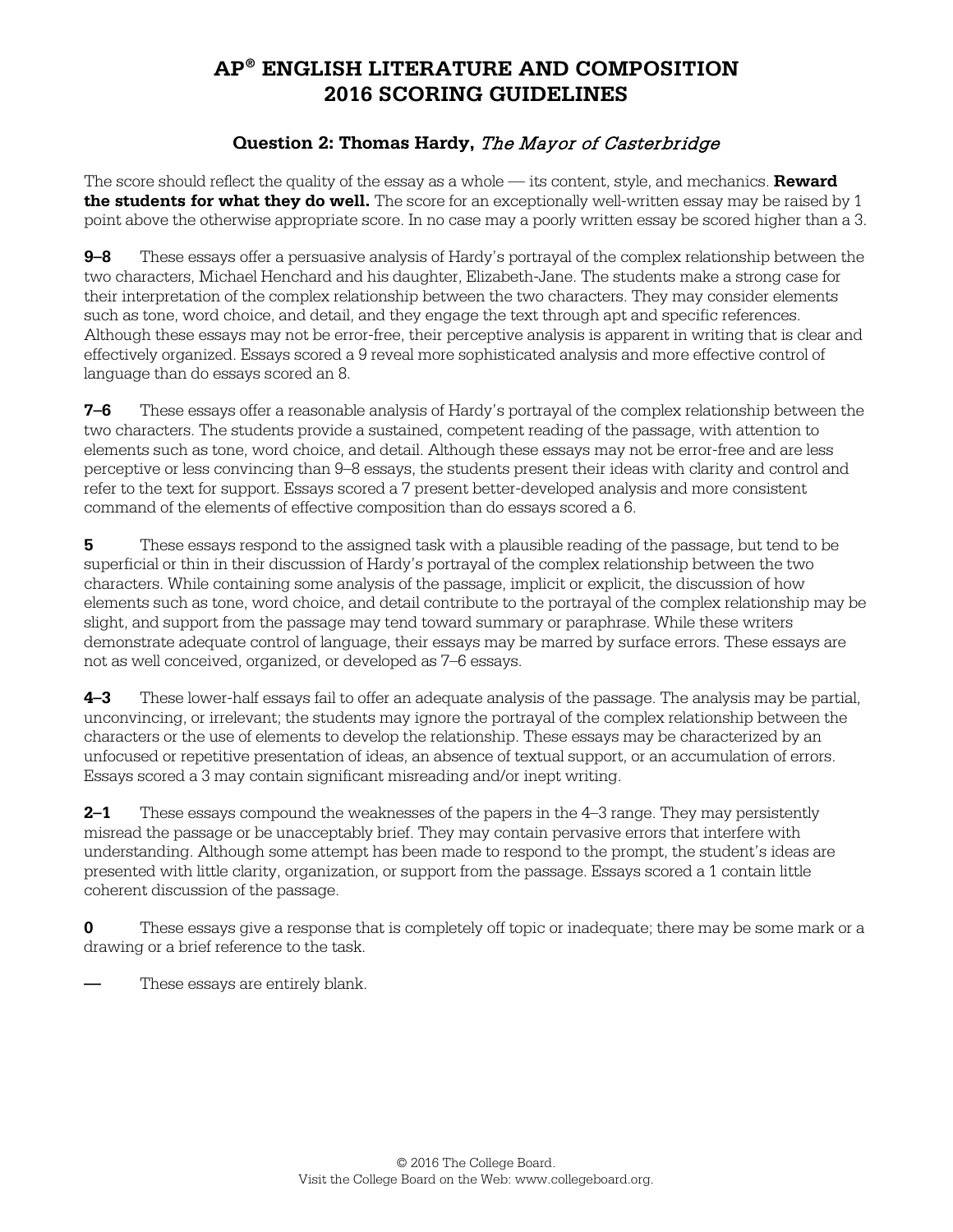## **AP® ENGLISH LITERATURE AND COMPOSITION 2016 SCORING GUIDELINES**

#### **Question 2: Thomas Hardy,** The Mayor of Casterbridge

The score should reflect the quality of the essay as a whole — its content, style, and mechanics. **Reward the students for what they do well.** The score for an exceptionally well-written essay may be raised by 1 point above the otherwise appropriate score. In no case may a poorly written essay be scored higher than a 3.

**9–8** These essays offer a persuasive analysis of Hardy's portrayal of the complex relationship between the two characters, Michael Henchard and his daughter, Elizabeth-Jane. The students make a strong case for their interpretation of the complex relationship between the two characters. They may consider elements such as tone, word choice, and detail, and they engage the text through apt and specific references. Although these essays may not be error-free, their perceptive analysis is apparent in writing that is clear and effectively organized. Essays scored a 9 reveal more sophisticated analysis and more effective control of language than do essays scored an 8.

**7–6** These essays offer a reasonable analysis of Hardy's portrayal of the complex relationship between the two characters. The students provide a sustained, competent reading of the passage, with attention to elements such as tone, word choice, and detail. Although these essays may not be error-free and are less perceptive or less convincing than 9–8 essays, the students present their ideas with clarity and control and refer to the text for support. Essays scored a 7 present better-developed analysis and more consistent command of the elements of effective composition than do essays scored a 6.

**5** These essays respond to the assigned task with a plausible reading of the passage, but tend to be superficial or thin in their discussion of Hardy's portrayal of the complex relationship between the two characters. While containing some analysis of the passage, implicit or explicit, the discussion of how elements such as tone, word choice, and detail contribute to the portrayal of the complex relationship may be slight, and support from the passage may tend toward summary or paraphrase. While these writers demonstrate adequate control of language, their essays may be marred by surface errors. These essays are not as well conceived, organized, or developed as 7–6 essays.

**4–3** These lower-half essays fail to offer an adequate analysis of the passage. The analysis may be partial, unconvincing, or irrelevant; the students may ignore the portrayal of the complex relationship between the characters or the use of elements to develop the relationship. These essays may be characterized by an unfocused or repetitive presentation of ideas, an absence of textual support, or an accumulation of errors. Essays scored a 3 may contain significant misreading and/or inept writing.

**2–1** These essays compound the weaknesses of the papers in the 4–3 range. They may persistently misread the passage or be unacceptably brief. They may contain pervasive errors that interfere with understanding. Although some attempt has been made to respond to the prompt, the student's ideas are presented with little clarity, organization, or support from the passage. Essays scored a 1 contain little coherent discussion of the passage.

**0** These essays give a response that is completely off topic or inadequate; there may be some mark or a drawing or a brief reference to the task.

**—** These essays are entirely blank.